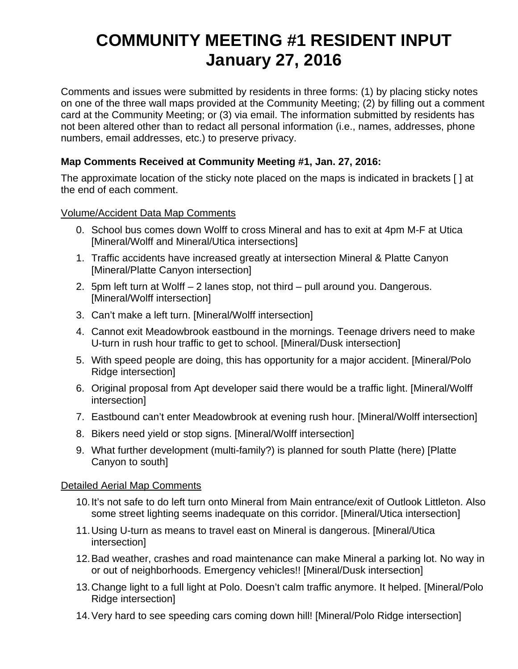# **COMMUNITY MEETING #1 RESIDENT INPUT January 27, 2016**

Comments and issues were submitted by residents in three forms: (1) by placing sticky notes on one of the three wall maps provided at the Community Meeting; (2) by filling out a comment card at the Community Meeting; or (3) via email. The information submitted by residents has not been altered other than to redact all personal information (i.e., names, addresses, phone numbers, email addresses, etc.) to preserve privacy.

# **Map Comments Received at Community Meeting #1, Jan. 27, 2016:**

The approximate location of the sticky note placed on the maps is indicated in brackets [ ] at the end of each comment.

# Volume/Accident Data Map Comments

- 0. School bus comes down Wolff to cross Mineral and has to exit at 4pm M-F at Utica [Mineral/Wolff and Mineral/Utica intersections]
- 1. Traffic accidents have increased greatly at intersection Mineral & Platte Canyon [Mineral/Platte Canyon intersection]
- 2. 5pm left turn at Wolff 2 lanes stop, not third pull around you. Dangerous. [Mineral/Wolff intersection]
- 3. Can't make a left turn. [Mineral/Wolff intersection]
- 4. Cannot exit Meadowbrook eastbound in the mornings. Teenage drivers need to make U-turn in rush hour traffic to get to school. [Mineral/Dusk intersection]
- 5. With speed people are doing, this has opportunity for a major accident. [Mineral/Polo Ridge intersection]
- 6. Original proposal from Apt developer said there would be a traffic light. [Mineral/Wolff intersection]
- 7. Eastbound can't enter Meadowbrook at evening rush hour. [Mineral/Wolff intersection]
- 8. Bikers need yield or stop signs. [Mineral/Wolff intersection]
- 9. What further development (multi-family?) is planned for south Platte (here) [Platte Canyon to south]

#### Detailed Aerial Map Comments

- 10. It's not safe to do left turn onto Mineral from Main entrance/exit of Outlook Littleton. Also some street lighting seems inadequate on this corridor. [Mineral/Utica intersection]
- 11. Using U-turn as means to travel east on Mineral is dangerous. [Mineral/Utica intersection]
- 12. Bad weather, crashes and road maintenance can make Mineral a parking lot. No way in or out of neighborhoods. Emergency vehicles!! [Mineral/Dusk intersection]
- 13. Change light to a full light at Polo. Doesn't calm traffic anymore. It helped. [Mineral/Polo Ridge intersection]
- 14. Very hard to see speeding cars coming down hill! [Mineral/Polo Ridge intersection]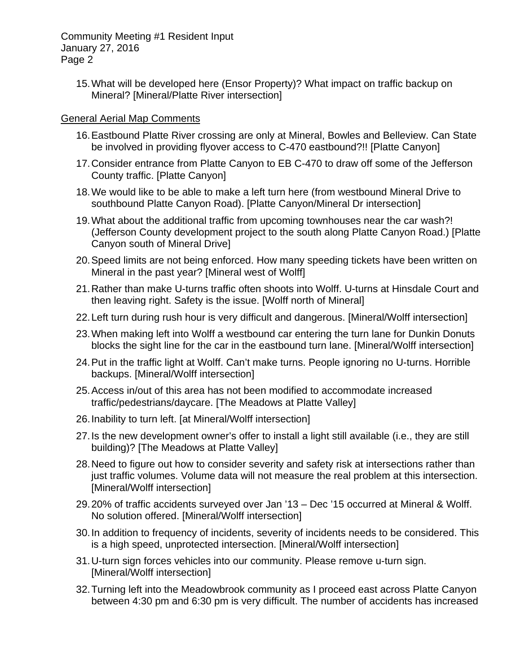15. What will be developed here (Ensor Property)? What impact on traffic backup on Mineral? [Mineral/Platte River intersection]

## General Aerial Map Comments

- 16. Eastbound Platte River crossing are only at Mineral, Bowles and Belleview. Can State be involved in providing flyover access to C-470 eastbound?!! [Platte Canyon]
- 17. Consider entrance from Platte Canyon to EB C-470 to draw off some of the Jefferson County traffic. [Platte Canyon]
- 18. We would like to be able to make a left turn here (from westbound Mineral Drive to southbound Platte Canyon Road). [Platte Canyon/Mineral Dr intersection]
- 19. What about the additional traffic from upcoming townhouses near the car wash?! (Jefferson County development project to the south along Platte Canyon Road.) [Platte Canyon south of Mineral Drive]
- 20. Speed limits are not being enforced. How many speeding tickets have been written on Mineral in the past year? [Mineral west of Wolff]
- 21. Rather than make U-turns traffic often shoots into Wolff. U-turns at Hinsdale Court and then leaving right. Safety is the issue. [Wolff north of Mineral]
- 22. Left turn during rush hour is very difficult and dangerous. [Mineral/Wolff intersection]
- 23. When making left into Wolff a westbound car entering the turn lane for Dunkin Donuts blocks the sight line for the car in the eastbound turn lane. [Mineral/Wolff intersection]
- 24. Put in the traffic light at Wolff. Can't make turns. People ignoring no U-turns. Horrible backups. [Mineral/Wolff intersection]
- 25. Access in/out of this area has not been modified to accommodate increased traffic/pedestrians/daycare. [The Meadows at Platte Valley]
- 26. Inability to turn left. [at Mineral/Wolff intersection]
- 27. Is the new development owner's offer to install a light still available (i.e., they are still building)? [The Meadows at Platte Valley]
- 28. Need to figure out how to consider severity and safety risk at intersections rather than just traffic volumes. Volume data will not measure the real problem at this intersection. [Mineral/Wolff intersection]
- 29. 20% of traffic accidents surveyed over Jan '13 Dec '15 occurred at Mineral & Wolff. No solution offered. [Mineral/Wolff intersection]
- 30. In addition to frequency of incidents, severity of incidents needs to be considered. This is a high speed, unprotected intersection. [Mineral/Wolff intersection]
- 31. U-turn sign forces vehicles into our community. Please remove u-turn sign. [Mineral/Wolff intersection]
- 32. Turning left into the Meadowbrook community as I proceed east across Platte Canyon between 4:30 pm and 6:30 pm is very difficult. The number of accidents has increased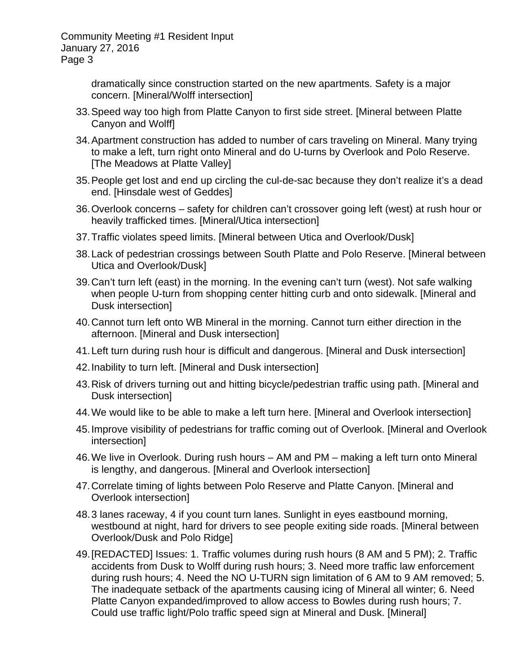> dramatically since construction started on the new apartments. Safety is a major concern. [Mineral/Wolff intersection]

- 33. Speed way too high from Platte Canyon to first side street. [Mineral between Platte Canyon and Wolff]
- 34. Apartment construction has added to number of cars traveling on Mineral. Many trying to make a left, turn right onto Mineral and do U-turns by Overlook and Polo Reserve. [The Meadows at Platte Valley]
- 35. People get lost and end up circling the cul-de-sac because they don't realize it's a dead end. [Hinsdale west of Geddes]
- 36. Overlook concerns safety for children can't crossover going left (west) at rush hour or heavily trafficked times. [Mineral/Utica intersection]
- 37. Traffic violates speed limits. [Mineral between Utica and Overlook/Dusk]
- 38. Lack of pedestrian crossings between South Platte and Polo Reserve. [Mineral between Utica and Overlook/Dusk]
- 39. Can't turn left (east) in the morning. In the evening can't turn (west). Not safe walking when people U-turn from shopping center hitting curb and onto sidewalk. [Mineral and Dusk intersection]
- 40. Cannot turn left onto WB Mineral in the morning. Cannot turn either direction in the afternoon. [Mineral and Dusk intersection]
- 41. Left turn during rush hour is difficult and dangerous. [Mineral and Dusk intersection]
- 42. Inability to turn left. [Mineral and Dusk intersection]
- 43. Risk of drivers turning out and hitting bicycle/pedestrian traffic using path. [Mineral and Dusk intersection]
- 44. We would like to be able to make a left turn here. [Mineral and Overlook intersection]
- 45. Improve visibility of pedestrians for traffic coming out of Overlook. [Mineral and Overlook intersection]
- 46. We live in Overlook. During rush hours AM and PM making a left turn onto Mineral is lengthy, and dangerous. [Mineral and Overlook intersection]
- 47. Correlate timing of lights between Polo Reserve and Platte Canyon. [Mineral and Overlook intersection]
- 48. 3 lanes raceway, 4 if you count turn lanes. Sunlight in eyes eastbound morning, westbound at night, hard for drivers to see people exiting side roads. [Mineral between Overlook/Dusk and Polo Ridge]
- 49. [REDACTED] Issues: 1. Traffic volumes during rush hours (8 AM and 5 PM); 2. Traffic accidents from Dusk to Wolff during rush hours; 3. Need more traffic law enforcement during rush hours; 4. Need the NO U-TURN sign limitation of 6 AM to 9 AM removed; 5. The inadequate setback of the apartments causing icing of Mineral all winter; 6. Need Platte Canyon expanded/improved to allow access to Bowles during rush hours; 7. Could use traffic light/Polo traffic speed sign at Mineral and Dusk. [Mineral]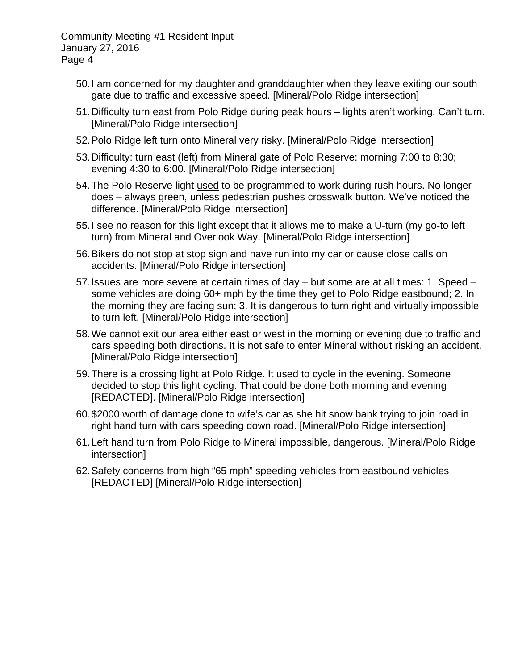- 50. I am concerned for my daughter and granddaughter when they leave exiting our south gate due to traffic and excessive speed. [Mineral/Polo Ridge intersection]
- 51. Difficulty turn east from Polo Ridge during peak hours lights aren't working. Can't turn. [Mineral/Polo Ridge intersection]
- 52. Polo Ridge left turn onto Mineral very risky. [Mineral/Polo Ridge intersection]
- 53. Difficulty: turn east (left) from Mineral gate of Polo Reserve: morning 7:00 to 8:30; evening 4:30 to 6:00. [Mineral/Polo Ridge intersection]
- 54. The Polo Reserve light used to be programmed to work during rush hours. No longer does – always green, unless pedestrian pushes crosswalk button. We've noticed the difference. [Mineral/Polo Ridge intersection]
- 55. I see no reason for this light except that it allows me to make a U-turn (my go-to left turn) from Mineral and Overlook Way. [Mineral/Polo Ridge intersection]
- 56. Bikers do not stop at stop sign and have run into my car or cause close calls on accidents. [Mineral/Polo Ridge intersection]
- 57. Issues are more severe at certain times of day but some are at all times: 1. Speed some vehicles are doing 60+ mph by the time they get to Polo Ridge eastbound; 2. In the morning they are facing sun; 3. It is dangerous to turn right and virtually impossible to turn left. [Mineral/Polo Ridge intersection]
- 58. We cannot exit our area either east or west in the morning or evening due to traffic and cars speeding both directions. It is not safe to enter Mineral without risking an accident. [Mineral/Polo Ridge intersection]
- 59. There is a crossing light at Polo Ridge. It used to cycle in the evening. Someone decided to stop this light cycling. That could be done both morning and evening [REDACTED]. [Mineral/Polo Ridge intersection]
- 60. \$2000 worth of damage done to wife's car as she hit snow bank trying to join road in right hand turn with cars speeding down road. [Mineral/Polo Ridge intersection]
- 61. Left hand turn from Polo Ridge to Mineral impossible, dangerous. [Mineral/Polo Ridge intersection]
- 62. Safety concerns from high "65 mph" speeding vehicles from eastbound vehicles [REDACTED] [Mineral/Polo Ridge intersection]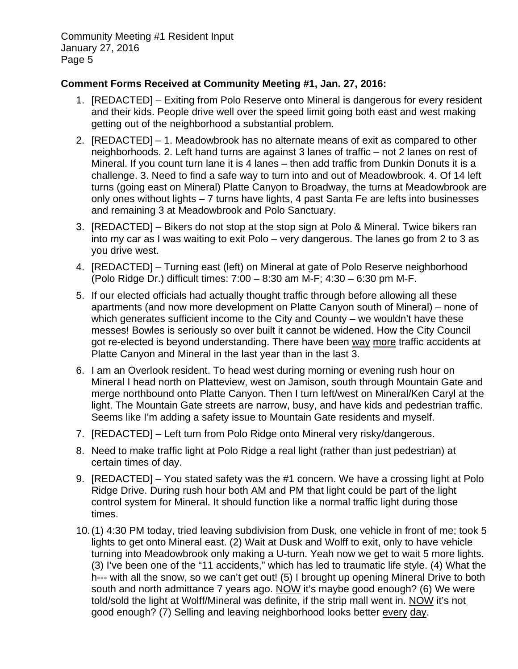## **Comment Forms Received at Community Meeting #1, Jan. 27, 2016:**

- 1. [REDACTED] Exiting from Polo Reserve onto Mineral is dangerous for every resident and their kids. People drive well over the speed limit going both east and west making getting out of the neighborhood a substantial problem.
- 2. [REDACTED] 1. Meadowbrook has no alternate means of exit as compared to other neighborhoods. 2. Left hand turns are against 3 lanes of traffic – not 2 lanes on rest of Mineral. If you count turn lane it is 4 lanes – then add traffic from Dunkin Donuts it is a challenge. 3. Need to find a safe way to turn into and out of Meadowbrook. 4. Of 14 left turns (going east on Mineral) Platte Canyon to Broadway, the turns at Meadowbrook are only ones without lights – 7 turns have lights, 4 past Santa Fe are lefts into businesses and remaining 3 at Meadowbrook and Polo Sanctuary.
- 3. [REDACTED] Bikers do not stop at the stop sign at Polo & Mineral. Twice bikers ran into my car as I was waiting to exit Polo – very dangerous. The lanes go from 2 to 3 as you drive west.
- 4. [REDACTED] Turning east (left) on Mineral at gate of Polo Reserve neighborhood (Polo Ridge Dr.) difficult times: 7:00 – 8:30 am M-F; 4:30 – 6:30 pm M-F.
- 5. If our elected officials had actually thought traffic through before allowing all these apartments (and now more development on Platte Canyon south of Mineral) – none of which generates sufficient income to the City and County – we wouldn't have these messes! Bowles is seriously so over built it cannot be widened. How the City Council got re-elected is beyond understanding. There have been way more traffic accidents at Platte Canyon and Mineral in the last year than in the last 3.
- 6. I am an Overlook resident. To head west during morning or evening rush hour on Mineral I head north on Platteview, west on Jamison, south through Mountain Gate and merge northbound onto Platte Canyon. Then I turn left/west on Mineral/Ken Caryl at the light. The Mountain Gate streets are narrow, busy, and have kids and pedestrian traffic. Seems like I'm adding a safety issue to Mountain Gate residents and myself.
- 7. [REDACTED] Left turn from Polo Ridge onto Mineral very risky/dangerous.
- 8. Need to make traffic light at Polo Ridge a real light (rather than just pedestrian) at certain times of day.
- 9. [REDACTED] You stated safety was the #1 concern. We have a crossing light at Polo Ridge Drive. During rush hour both AM and PM that light could be part of the light control system for Mineral. It should function like a normal traffic light during those times.
- 10. (1) 4:30 PM today, tried leaving subdivision from Dusk, one vehicle in front of me; took 5 lights to get onto Mineral east. (2) Wait at Dusk and Wolff to exit, only to have vehicle turning into Meadowbrook only making a U-turn. Yeah now we get to wait 5 more lights. (3) I've been one of the "11 accidents," which has led to traumatic life style. (4) What the h--- with all the snow, so we can't get out! (5) I brought up opening Mineral Drive to both south and north admittance 7 years ago. NOW it's maybe good enough? (6) We were told/sold the light at Wolff/Mineral was definite, if the strip mall went in. NOW it's not good enough? (7) Selling and leaving neighborhood looks better every day.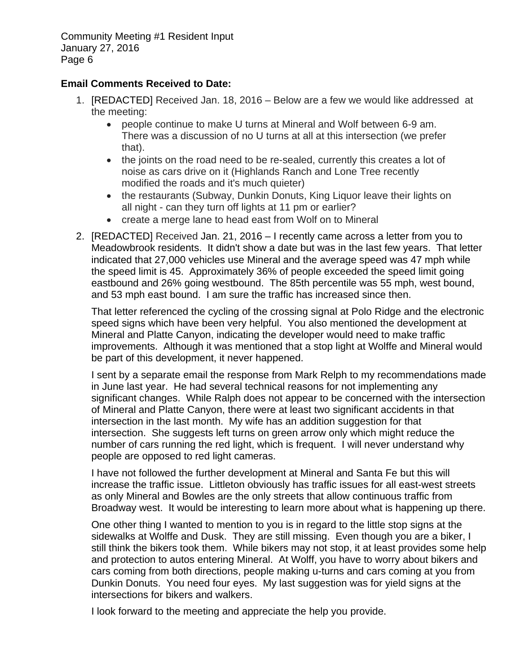## **Email Comments Received to Date:**

- 1. [REDACTED] Received Jan. 18, 2016 Below are a few we would like addressed at the meeting:
	- people continue to make U turns at Mineral and Wolf between 6-9 am. There was a discussion of no U turns at all at this intersection (we prefer that).
	- the joints on the road need to be re-sealed, currently this creates a lot of noise as cars drive on it (Highlands Ranch and Lone Tree recently modified the roads and it's much quieter)
	- the restaurants (Subway, Dunkin Donuts, King Liquor leave their lights on all night - can they turn off lights at 11 pm or earlier?
	- create a merge lane to head east from Wolf on to Mineral
- 2. [REDACTED] Received Jan. 21, 2016 I recently came across a letter from you to Meadowbrook residents. It didn't show a date but was in the last few years. That letter indicated that 27,000 vehicles use Mineral and the average speed was 47 mph while the speed limit is 45. Approximately 36% of people exceeded the speed limit going eastbound and 26% going westbound. The 85th percentile was 55 mph, west bound, and 53 mph east bound. I am sure the traffic has increased since then.

That letter referenced the cycling of the crossing signal at Polo Ridge and the electronic speed signs which have been very helpful. You also mentioned the development at Mineral and Platte Canyon, indicating the developer would need to make traffic improvements. Although it was mentioned that a stop light at Wolffe and Mineral would be part of this development, it never happened.

I sent by a separate email the response from Mark Relph to my recommendations made in June last year. He had several technical reasons for not implementing any significant changes. While Ralph does not appear to be concerned with the intersection of Mineral and Platte Canyon, there were at least two significant accidents in that intersection in the last month. My wife has an addition suggestion for that intersection. She suggests left turns on green arrow only which might reduce the number of cars running the red light, which is frequent. I will never understand why people are opposed to red light cameras.

I have not followed the further development at Mineral and Santa Fe but this will increase the traffic issue. Littleton obviously has traffic issues for all east-west streets as only Mineral and Bowles are the only streets that allow continuous traffic from Broadway west. It would be interesting to learn more about what is happening up there.

One other thing I wanted to mention to you is in regard to the little stop signs at the sidewalks at Wolffe and Dusk. They are still missing. Even though you are a biker, I still think the bikers took them. While bikers may not stop, it at least provides some help and protection to autos entering Mineral. At Wolff, you have to worry about bikers and cars coming from both directions, people making u-turns and cars coming at you from Dunkin Donuts. You need four eyes. My last suggestion was for yield signs at the intersections for bikers and walkers.

I look forward to the meeting and appreciate the help you provide.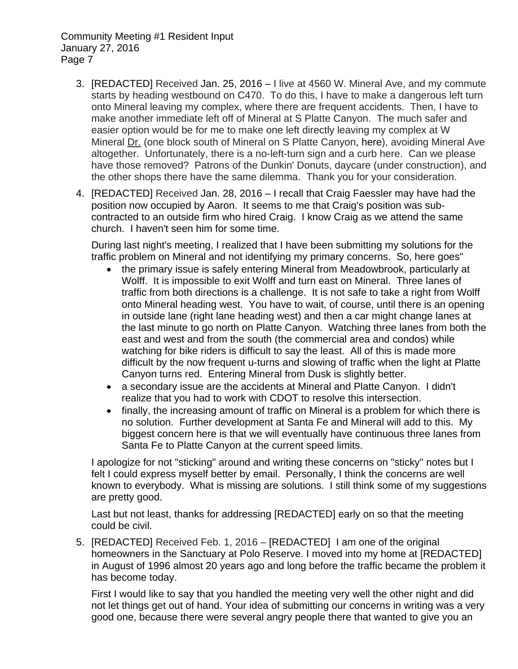- 3. [REDACTED] Received Jan. 25, 2016 I live at 4560 W. Mineral Ave, and my commute starts by heading westbound on C470. To do this, I have to make a dangerous left turn onto Mineral leaving my complex, where there are frequent accidents. Then, I have to make another immediate left off of Mineral at S Platte Canyon. The much safer and easier option would be for me to make one left directly leaving my complex at W Mineral Dr. (one block south of Mineral on S Platte Canyon, here), avoiding Mineral Ave altogether. Unfortunately, there is a no-left-turn sign and a curb here. Can we please have those removed? Patrons of the Dunkin' Donuts, daycare (under construction), and the other shops there have the same dilemma. Thank you for your consideration.
- 4. [REDACTED] Received Jan. 28, 2016 I recall that Craig Faessler may have had the position now occupied by Aaron. It seems to me that Craig's position was subcontracted to an outside firm who hired Craig. I know Craig as we attend the same church. I haven't seen him for some time.

During last night's meeting, I realized that I have been submitting my solutions for the traffic problem on Mineral and not identifying my primary concerns. So, here goes"

- the primary issue is safely entering Mineral from Meadowbrook, particularly at Wolff. It is impossible to exit Wolff and turn east on Mineral. Three lanes of traffic from both directions is a challenge. It is not safe to take a right from Wolff onto Mineral heading west. You have to wait, of course, until there is an opening in outside lane (right lane heading west) and then a car might change lanes at the last minute to go north on Platte Canyon. Watching three lanes from both the east and west and from the south (the commercial area and condos) while watching for bike riders is difficult to say the least. All of this is made more difficult by the now frequent u-turns and slowing of traffic when the light at Platte Canyon turns red. Entering Mineral from Dusk is slightly better.
- a secondary issue are the accidents at Mineral and Platte Canyon. I didn't realize that you had to work with CDOT to resolve this intersection.
- finally, the increasing amount of traffic on Mineral is a problem for which there is no solution. Further development at Santa Fe and Mineral will add to this. My biggest concern here is that we will eventually have continuous three lanes from Santa Fe to Platte Canyon at the current speed limits.

I apologize for not "sticking" around and writing these concerns on "sticky" notes but I felt I could express myself better by email. Personally, I think the concerns are well known to everybody. What is missing are solutions. I still think some of my suggestions are pretty good.

Last but not least, thanks for addressing [REDACTED] early on so that the meeting could be civil.

5. [REDACTED] Received Feb. 1, 2016 – [REDACTED] I am one of the original homeowners in the Sanctuary at Polo Reserve. I moved into my home at [REDACTED] in August of 1996 almost 20 years ago and long before the traffic became the problem it has become today.

First I would like to say that you handled the meeting very well the other night and did not let things get out of hand. Your idea of submitting our concerns in writing was a very good one, because there were several angry people there that wanted to give you an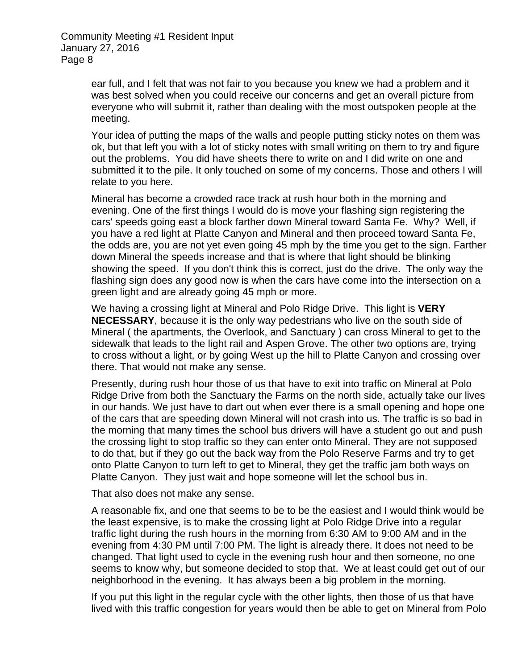> ear full, and I felt that was not fair to you because you knew we had a problem and it was best solved when you could receive our concerns and get an overall picture from everyone who will submit it, rather than dealing with the most outspoken people at the meeting.

Your idea of putting the maps of the walls and people putting sticky notes on them was ok, but that left you with a lot of sticky notes with small writing on them to try and figure out the problems. You did have sheets there to write on and I did write on one and submitted it to the pile. It only touched on some of my concerns. Those and others I will relate to you here.

Mineral has become a crowded race track at rush hour both in the morning and evening. One of the first things I would do is move your flashing sign registering the cars' speeds going east a block farther down Mineral toward Santa Fe. Why? Well, if you have a red light at Platte Canyon and Mineral and then proceed toward Santa Fe, the odds are, you are not yet even going 45 mph by the time you get to the sign. Farther down Mineral the speeds increase and that is where that light should be blinking showing the speed. If you don't think this is correct, just do the drive. The only way the flashing sign does any good now is when the cars have come into the intersection on a green light and are already going 45 mph or more.

We having a crossing light at Mineral and Polo Ridge Drive. This light is **VERY NECESSARY**, because it is the only way pedestrians who live on the south side of Mineral ( the apartments, the Overlook, and Sanctuary ) can cross Mineral to get to the sidewalk that leads to the light rail and Aspen Grove. The other two options are, trying to cross without a light, or by going West up the hill to Platte Canyon and crossing over there. That would not make any sense.

Presently, during rush hour those of us that have to exit into traffic on Mineral at Polo Ridge Drive from both the Sanctuary the Farms on the north side, actually take our lives in our hands. We just have to dart out when ever there is a small opening and hope one of the cars that are speeding down Mineral will not crash into us. The traffic is so bad in the morning that many times the school bus drivers will have a student go out and push the crossing light to stop traffic so they can enter onto Mineral. They are not supposed to do that, but if they go out the back way from the Polo Reserve Farms and try to get onto Platte Canyon to turn left to get to Mineral, they get the traffic jam both ways on Platte Canyon. They just wait and hope someone will let the school bus in.

That also does not make any sense.

A reasonable fix, and one that seems to be to be the easiest and I would think would be the least expensive, is to make the crossing light at Polo Ridge Drive into a regular traffic light during the rush hours in the morning from 6:30 AM to 9:00 AM and in the evening from 4:30 PM until 7:00 PM. The light is already there. It does not need to be changed. That light used to cycle in the evening rush hour and then someone, no one seems to know why, but someone decided to stop that. We at least could get out of our neighborhood in the evening. It has always been a big problem in the morning.

If you put this light in the regular cycle with the other lights, then those of us that have lived with this traffic congestion for years would then be able to get on Mineral from Polo